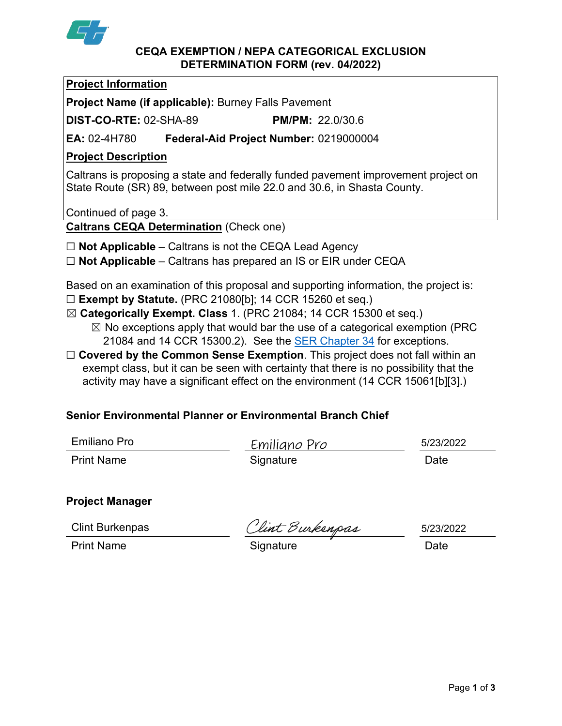

#### **CEQA EXEMPTION / NEPA CATEGORICAL EXCLUSION DETERMINATION FORM (rev. 04/2022)**

|--|

**Project Name (if applicable):** Burney Falls Pavement

**DIST-CO-RTE:** 02-SHA-89 **PM/PM:** 22.0/30.6

**EA:** 02-4H780 **Federal-Aid Project Number:** 0219000004

## **Project Description**

Caltrans is proposing a state and federally funded pavement improvement project on State Route (SR) 89, between post mile 22.0 and 30.6, in Shasta County.

Continued of page 3.

**Caltrans CEQA Determination** (Check one)

- ☐ **Not Applicable** Caltrans is not the CEQA Lead Agency
- ☐ **Not Applicable** Caltrans has prepared an IS or EIR under CEQA

Based on an examination of this proposal and supporting information, the project is:

- ☐ **Exempt by Statute.** (PRC 21080[b]; 14 CCR 15260 et seq.)
- ☒ **Categorically Exempt. Class** 1. (PRC 21084; 14 CCR 15300 et seq.)  $\boxtimes$  No exceptions apply that would bar the use of a categorical exemption (PRC 21084 and 14 CCR 15300.2). See the **SER Chapter 34** for exceptions.
- □ **Covered by the Common Sense Exemption**. This project does not fall within an exempt class, but it can be seen with certainty that there is no possibility that the activity may have a significant effect on the environment (14 CCR 15061[b][3].)

# **Senior Environmental Planner or Environmental Branch Chief**

| Emiliano Pro      | Emiliano Pro | 5/23/2022 |
|-------------------|--------------|-----------|
| <b>Print Name</b> | Signature    | Date      |

## **Project Manager**

Clint Burkenpas

Solint Burkenpas<br>Print Name **Signature** Signature Date Date

5/23/2022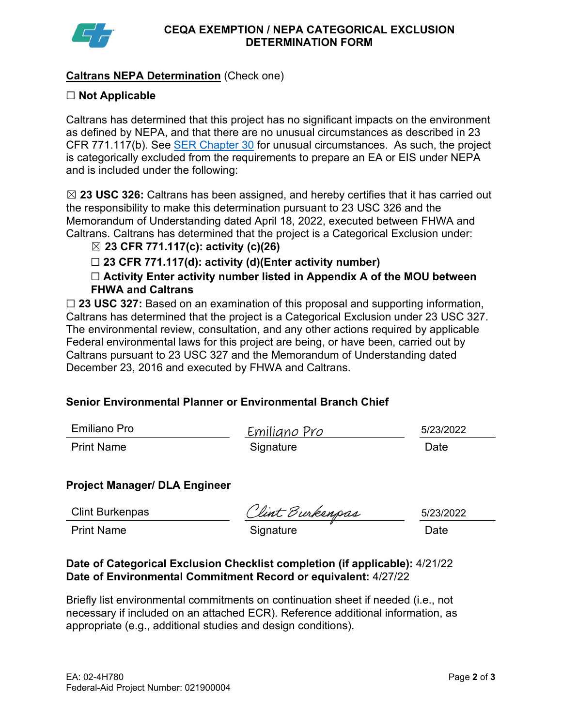

## **Caltrans NEPA Determination** (Check one)

## ☐ **Not Applicable**

Caltrans has determined that this project has no significant impacts on the environment as defined by NEPA, and that there are no unusual circumstances as described in 23 CFR 771.117(b). See [SER Chapter 30](https://dot.ca.gov/programs/environmental-analysis/standard-environmental-reference-ser/volume-1-guidance-for-compliance/ch-30-categorical-exclusions#exception) for unusual circumstances. As such, the project is categorically excluded from the requirements to prepare an EA or EIS under NEPA and is included under the following:

☒ **23 USC 326:** Caltrans has been assigned, and hereby certifies that it has carried out the responsibility to make this determination pursuant to 23 USC 326 and the Memorandum of Understanding dated April 18, 2022, executed between FHWA and Caltrans. Caltrans has determined that the project is a Categorical Exclusion under:

## ☒ **23 CFR 771.117(c): activity (c)(26)**

☐ **23 CFR 771.117(d): activity (d)(Enter activity number)** 

☐ **Activity Enter activity number listed in Appendix A of the MOU between FHWA and Caltrans**

☐ **23 USC 327:** Based on an examination of this proposal and supporting information, Caltrans has determined that the project is a Categorical Exclusion under 23 USC 327. The environmental review, consultation, and any other actions required by applicable Federal environmental laws for this project are being, or have been, carried out by Caltrans pursuant to 23 USC 327 and the Memorandum of Understanding dated December 23, 2016 and executed by FHWA and Caltrans.

## **Senior Environmental Planner or Environmental Branch Chief**

| Emiliano Pro      | Emiliano Pro | 5/23/2022 |
|-------------------|--------------|-----------|
| <b>Print Name</b> | Signature    | Date      |

## **Project Manager/ DLA Engineer**

Clint Burkenpas

Clint Burkenpas Clint Burkenpas 5/23/2<br>Print Name Signature Date

5/23/2022

#### **Date of Categorical Exclusion Checklist completion (if applicable):** 4/21/22 **Date of Environmental Commitment Record or equivalent:** 4/27/22

Briefly list environmental commitments on continuation sheet if needed (i.e., not necessary if included on an attached ECR). Reference additional information, as appropriate (e.g., additional studies and design conditions).